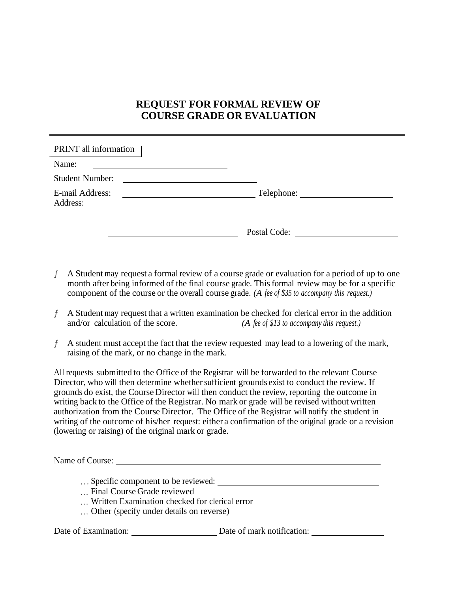## **REQUEST FOR FORMAL REVIEW OF COURSE GRADE OR EVALUATION**

| <b>PRINT</b> all information                                                       |              |  |
|------------------------------------------------------------------------------------|--------------|--|
| Name:                                                                              |              |  |
| <b>Student Number:</b>                                                             |              |  |
| E-mail Address:<br><u> 1980 - Andrea Station Barbara, amerikan per</u><br>Address: | Telephone:   |  |
|                                                                                    |              |  |
|                                                                                    | Postal Code: |  |

- $f$  A Student may request a formal review of a course grade or evaluation for a period of up to one month after being informed of the final course grade. This formal review may be for a specific component of the course or the overall course grade. *(A fee of \$35 to accompany this request.)*
- $A$  Student may request that a written examination be checked for clerical error in the addition<br>and/or calculation of the score. (A fee of \$13 to accompany this request.) (A fee of \$13 to accompany this request.)
- A student must accept the fact that the review requested may lead to a lowering of the mark, raising of the mark, or no change in the mark.

All requests submitted to the Office of the Registrar will be forwarded to the relevant Course Director, who will then determine whether sufficient grounds exist to conduct the review. If grounds do exist, the Course Director will then conduct the review, reporting the outcome in writing back to the Office of the Registrar. No mark or grade will be revised without written authorization from the Course Director. The Office of the Registrar will notify the student in writing of the outcome of his/her request: either a confirmation of the original grade or a revision (lowering or raising) of the original mark or grade.

Name of Course:

- Specific component to be reviewed:
- Final Course Grade reviewed
- Written Examination checked for clerical error
- Other (specify under details on reverse)

Date of Examination: Date of mark notification: